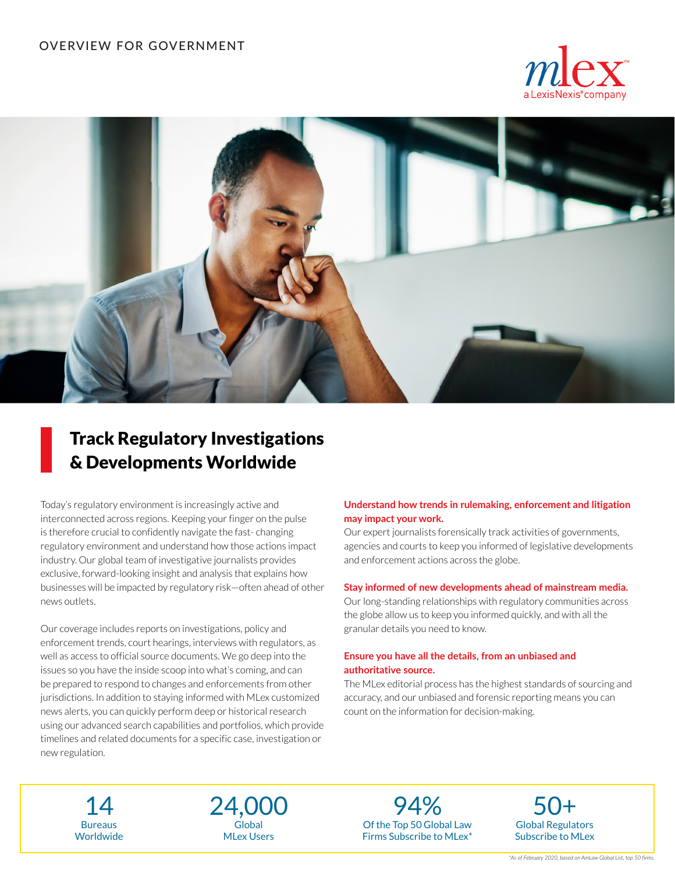



# Track Regulatory Investigations & Developments Worldwide

Today's regulatory environment is increasingly active and interconnected across regions. Keeping your finger on the pulse is therefore crucial to confidently navigate the fast- changing regulatory environment and understand how those actions impact industry. Our global team of investigative journalists provides exclusive, forward-looking insight and analysis that explains how businesses will be impacted by regulatory risk—often ahead of other news outlets.

Our coverage includes reports on investigations, policy and enforcement trends, court hearings, interviews with regulators, as well as access to official source documents. We go deep into the issues so you have the inside scoop into what's coming, and can be prepared to respond to changes and enforcements from other jurisdictions. In addition to staying informed with MLex customized news alerts, you can quickly perform deep or historical research using our advanced search capabilities and portfolios, which provide timelines and related documents for a specific case, investigation or new regulation.

## **Understand how trends in rulemaking, enforcement and litigation may impact your work.**

Our expert journalists forensically track activities of governments, agencies and courts to keep you informed of legislative developments and enforcement actions across the globe.

#### **Stay informed of new developments ahead of mainstream media.**

Our long-standing relationships with regulatory communities across the globe allow us to keep you informed quickly, and with all the granular details you need to know.

#### **Ensure you have all the details, from an unbiased and authoritative source.**

The MLex editorial process has the highest standards of sourcing and accuracy, and our unbiased and forensic reporting means you can count on the information for decision-making.

Bureaus **Worldwide** 



Of the Top 50 Global Law Firms Subscribe to MLex\*